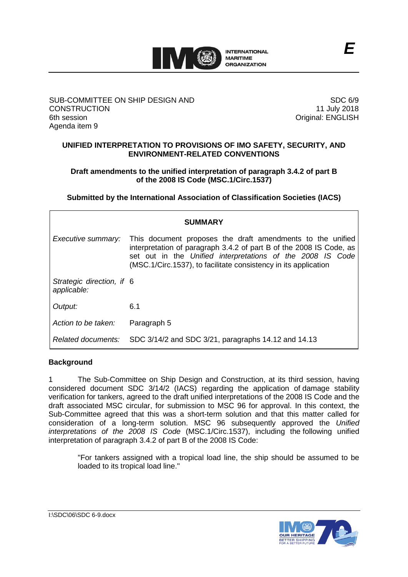

### SUB-COMMITTEE ON SHIP DESIGN AND **CONSTRUCTION** 6th session Agenda item 9

SDC 6/9 11 July 2018 Original: ENGLISH

*E*

# **UNIFIED INTERPRETATION TO PROVISIONS OF IMO SAFETY, SECURITY, AND ENVIRONMENT-RELATED CONVENTIONS**

# **Draft amendments to the unified interpretation of paragraph 3.4.2 of part B of the 2008 IS Code (MSC.1/Circ.1537)**

**Submitted by the International Association of Classification Societies (IACS)**

| <b>SUMMARY</b>                           |                                                                                                                                                                                                                                                                    |
|------------------------------------------|--------------------------------------------------------------------------------------------------------------------------------------------------------------------------------------------------------------------------------------------------------------------|
| Executive summary:                       | This document proposes the draft amendments to the unified<br>interpretation of paragraph 3.4.2 of part B of the 2008 IS Code, as<br>set out in the Unified interpretations of the 2008 IS Code<br>(MSC.1/Circ.1537), to facilitate consistency in its application |
| Strategic direction, if 6<br>applicable: |                                                                                                                                                                                                                                                                    |
| Output:                                  | 6.1                                                                                                                                                                                                                                                                |
| Action to be taken:                      | Paragraph 5                                                                                                                                                                                                                                                        |
| Related documents:                       | SDC 3/14/2 and SDC 3/21, paragraphs 14.12 and 14.13                                                                                                                                                                                                                |

# **Background**

1 The Sub-Committee on Ship Design and Construction, at its third session, having considered document SDC 3/14/2 (IACS) regarding the application of damage stability verification for tankers, agreed to the draft unified interpretations of the 2008 IS Code and the draft associated MSC circular, for submission to MSC 96 for approval. In this context, the Sub-Committee agreed that this was a short-term solution and that this matter called for consideration of a long-term solution. MSC 96 subsequently approved the *Unified interpretations of the 2008 IS Code* (MSC.1/Circ.1537), including the following unified interpretation of paragraph 3.4.2 of part B of the 2008 IS Code:

"For tankers assigned with a tropical load line, the ship should be assumed to be loaded to its tropical load line."

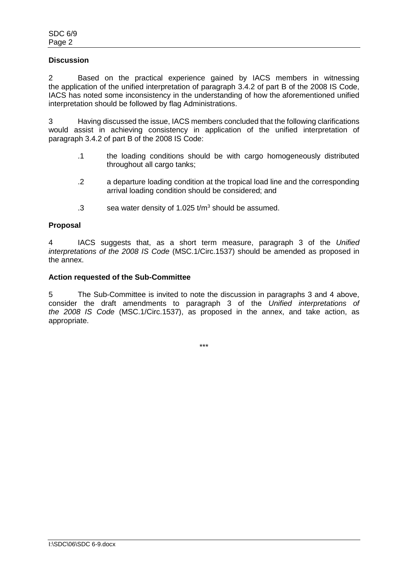# **Discussion**

2 Based on the practical experience gained by IACS members in witnessing the application of the unified interpretation of paragraph 3.4.2 of part B of the 2008 IS Code, IACS has noted some inconsistency in the understanding of how the aforementioned unified interpretation should be followed by flag Administrations.

3 Having discussed the issue, IACS members concluded that the following clarifications would assist in achieving consistency in application of the unified interpretation of paragraph 3.4.2 of part B of the 2008 IS Code:

- .1 the loading conditions should be with cargo homogeneously distributed throughout all cargo tanks;
- .2 a departure loading condition at the tropical load line and the corresponding arrival loading condition should be considered; and
- .3 sea water density of 1.025  $t/m<sup>3</sup>$  should be assumed.

### **Proposal**

4 IACS suggests that, as a short term measure, paragraph 3 of the *Unified interpretations of the 2008 IS Code* (MSC.1/Circ.1537) should be amended as proposed in the annex.

#### **Action requested of the Sub-Committee**

5 The Sub-Committee is invited to note the discussion in paragraphs 3 and 4 above, consider the draft amendments to paragraph 3 of the *Unified interpretations of the 2008 IS Code* (MSC.1/Circ.1537), as proposed in the annex, and take action, as appropriate.

\*\*\*